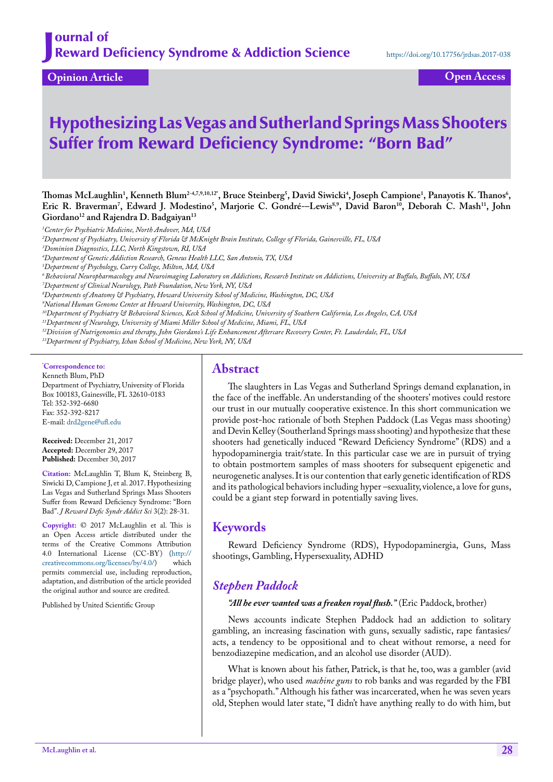**Opinion Article Open Access**

# Hypothesizing Las Vegas and Sutherland Springs Mass Shooters Suffer from Reward Deficiency Syndrome: "Born Bad"

 $\mu$ Thomas McLaughlin<sup>1</sup>, Kenneth Blum<sup>2-4,7,9,10,12°, Bruce Steinberg<sup>5</sup>, David Siwicki<sup>4</sup>, Joseph Campione<sup>1</sup>, Panayotis K. Thanos<sup>6</sup>,</sup> Eric R. Braverman', Edward J. Modestino<sup>5</sup>, Marjorie C. Gondré-–Lewis<sup>8,9</sup>, David Baron<sup>10</sup>, Deborah C. Mash<sup>11</sup>, John Giordano<sup>12</sup> and Rajendra D. Badgaiyan<sup>13</sup>

*1 Center for Psychiatric Medicine, North Andover, MA, USA*

*2 Department of Psychiatry, University of Florida & McKnight Brain Institute, College of Florida, Gainesville, FL, USA*

*3 Dominion Diagnostics, LLC, North Kingstown, RI, USA*

*4 Department of Genetic Addiction Research, Geneus Health LLC, San Antonio, TX, USA*

*5 Department of Psychology, Curry College, Milton, MA, USA*

- *6 Behavioral Neuropharmacology and Neuroimaging Laboratory on Addictions, Research Institute on Addictions, University at Buffalo, Buffalo, NY, USA*
- *7 Department of Clinical Neurology, Path Foundation, New York, NY, USA*

*8 Departments of Anatomy & Psychiatry, Howard University School of Medicine, Washington, DC, USA*

*9 National Human Genome Center at Howard University, Washington, DC, USA* 

*10Department of Psychiatry & Behavioral Sciences, Keck School of Medicine, University of Southern California, Los Angeles, CA, USA*

*11Department of Neurology, University of Miami Miller School of Medicine, Miami, FL, USA*

*12Division of Nutrigenomics and therapy, John Giordano's Life Enhancement Aftercare Recovery Center, Ft. Lauderdale, FL, USA*

*13Department of Psychiatry, Ichan School of Medicine, New York, NY, USA*

**\* Correspondence to:**

Kenneth Blum, PhD Department of Psychiatry, University of Florida Box 100183, Gainesville, FL 32610-0183 Tel: 352-392-6680 Fax: 352-392-8217 E-mail: [drd2gene@ufl.edu](mailto:drd2gene@ufl.edu)

**Received:** December 21, 2017 **Accepted:** December 29, 2017 **Published:** December 30, 2017

**Citation:** McLaughlin T, Blum K, Steinberg B, Siwicki D, Campione J, et al. 2017. Hypothesizing Las Vegas and Sutherland Springs Mass Shooters Suffer from Reward Deficiency Syndrome: "Born Bad". *J Reward Defic Syndr Addict Sci* 3(2): 28-31.

**Copyright:** © 2017 McLaughlin et al. This is an Open Access article distributed under the terms of the Creative Commons Attribution 4.0 International License (CC-BY) (http://<br>creativecommons.org/licenses/bv/4.0/) which creativecommons.org/licenses/by/4.0/) permits commercial use, including reproduction, adaptation, and distribution of the article provided the original author and source are credited.

Published by United Scientific Group

### **Abstract**

The slaughters in Las Vegas and Sutherland Springs demand explanation, in the face of the ineffable. An understanding of the shooters' motives could restore our trust in our mutually cooperative existence. In this short communication we provide post-hoc rationale of both Stephen Paddock (Las Vegas mass shooting) and Devin Kelley (Southerland Springs mass shooting) and hypothesize that these shooters had genetically induced "Reward Deficiency Syndrome" (RDS) and a hypodopaminergia trait/state. In this particular case we are in pursuit of trying to obtain postmortem samples of mass shooters for subsequent epigenetic and neurogenetic analyses. It is our contention that early genetic identification of RDS and its pathological behaviors including hyper –sexuality, violence, a love for guns, could be a giant step forward in potentially saving lives.

#### **Keywords**

Reward Deficiency Syndrome (RDS), Hypodopaminergia, Guns, Mass shootings, Gambling, Hypersexuality, ADHD

#### *Stephen Paddock*

#### *"All he ever wanted was a freaken royal flush."* (Eric Paddock, brother)

News accounts indicate Stephen Paddock had an addiction to solitary gambling, an increasing fascination with guns, sexually sadistic, rape fantasies/ acts, a tendency to be oppositional and to cheat without remorse, a need for benzodiazepine medication, and an alcohol use disorder (AUD).

What is known about his father, Patrick, is that he, too, was a gambler (avid bridge player), who used *machine guns* to rob banks and was regarded by the FBI as a "psychopath." Although his father was incarcerated, when he was seven years old, Stephen would later state, "I didn't have anything really to do with him, but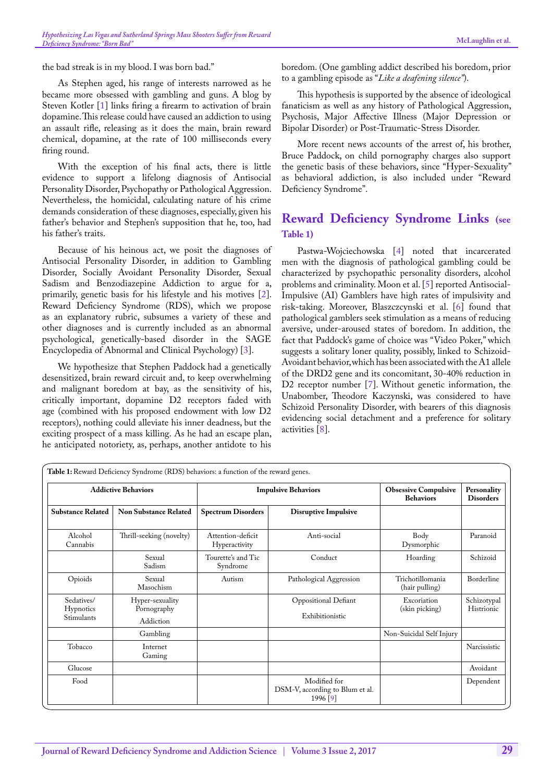the bad streak is in my blood. I was born bad."

As Stephen aged, his range of interests narrowed as he became more obsessed with gambling and guns. A blog by Steven Kotler [[1\]](#page-2-0) links firing a firearm to activation of brain dopamine. This release could have caused an addiction to using an assault rifle, releasing as it does the main, brain reward chemical, dopamine, at the rate of 100 milliseconds every firing round.

With the exception of his final acts, there is little evidence to support a lifelong diagnosis of Antisocial Personality Disorder, Psychopathy or Pathological Aggression. Nevertheless, the homicidal, calculating nature of his crime demands consideration of these diagnoses, especially, given his father's behavior and Stephen's supposition that he, too, had his father's traits.

Because of his heinous act, we posit the diagnoses of Antisocial Personality Disorder, in addition to Gambling Disorder, Socially Avoidant Personality Disorder, Sexual Sadism and Benzodiazepine Addiction to argue for a, primarily, genetic basis for his lifestyle and his motives [[2\]](#page-2-1). Reward Deficiency Syndrome (RDS), which we propose as an explanatory rubric, subsumes a variety of these and other diagnoses and is currently included as an abnormal psychological, genetically-based disorder in the SAGE Encyclopedia of Abnormal and Clinical Psychology) [\[3](#page-2-2)].

We hypothesize that Stephen Paddock had a genetically desensitized, brain reward circuit and, to keep overwhelming and malignant boredom at bay, as the sensitivity of his, critically important, dopamine D2 receptors faded with age (combined with his proposed endowment with low D2 receptors), nothing could alleviate his inner deadness, but the exciting prospect of a mass killing. As he had an escape plan, he anticipated notoriety, as, perhaps, another antidote to his

boredom. (One gambling addict described his boredom, prior to a gambling episode as "*Like a deafening silence"*).

This hypothesis is supported by the absence of ideological fanaticism as well as any history of Pathological Aggression, Psychosis, Major Affective Illness (Major Depression or Bipolar Disorder) or Post-Traumatic-Stress Disorder.

More recent news accounts of the arrest of, his brother, Bruce Paddock, on child pornography charges also support the genetic basis of these behaviors, since "Hyper-Sexuality" as behavioral addiction, is also included under "Reward Deficiency Syndrome".

## **Reward Deficiency Syndrome Links [\(see](#page-1-0)  [Table 1](#page-1-0))**

Pastwa-Wojciechowska [[4\]](#page-2-3) noted that incarcerated men with the diagnosis of pathological gambling could be characterized by psychopathic personality disorders, alcohol problems and criminality. Moon et al. [\[5](#page-3-0)] reported Antisocial-Impulsive (AI) Gamblers have high rates of impulsivity and risk-taking. Moreover, Blaszczcynski et al. [\[6](#page-3-1)] found that pathological gamblers seek stimulation as a means of reducing aversive, under-aroused states of boredom. In addition, the fact that Paddock's game of choice was "Video Poker," which suggests a solitary loner quality, possibly, linked to Schizoid-Avoidant behavior, which has been associated with the A1 allele of the DRD2 gene and its concomitant, 30-40% reduction in D2 receptor number [\[7](#page-3-2)]. Without genetic information, the Unabomber, Theodore Kaczynski, was considered to have Schizoid Personality Disorder, with bearers of this diagnosis evidencing social detachment and a preference for solitary activities [\[8](#page-3-3)].

<span id="page-1-0"></span>

| <b>Addictive Behaviors</b>                   |                                             | <b>Impulsive Behaviors</b>         |                                                             | <b>Obsessive Compulsive</b><br><b>Behaviors</b> | Personality<br><b>Disorders</b> |
|----------------------------------------------|---------------------------------------------|------------------------------------|-------------------------------------------------------------|-------------------------------------------------|---------------------------------|
| <b>Substance Related</b>                     | <b>Non Substance Related</b>                | <b>Spectrum Disorders</b>          | <b>Disruptive Impulsive</b>                                 |                                                 |                                 |
| Alcohol<br>Cannabis                          | Thrill-seeking (novelty)                    | Attention-deficit<br>Hyperactivity | Anti-social                                                 | Body<br>Dysmorphic                              | Paranoid                        |
|                                              | Sexual<br>Sadism                            | Tourette's and Tic<br>Syndrome     | Conduct                                                     | Hoarding                                        | Schizoid                        |
| Opioids                                      | Sexual<br>Masochism                         | Autism                             | Pathological Aggression                                     | Trichotillomania<br>(hair pulling)              | Borderline                      |
| Sedatives/<br><b>Hypnotics</b><br>Stimulants | Hyper-sexuality<br>Pornography<br>Addiction |                                    | Oppositional Defiant<br>Exhibitionistic                     | Excoriation<br>(skin picking)                   | Schizotypal<br>Histrionic       |
|                                              | Gambling                                    |                                    |                                                             | Non-Suicidal Self Injury                        |                                 |
| Tobacco                                      | Internet<br>Gaming                          |                                    |                                                             |                                                 | Narcissistic                    |
| Glucose                                      |                                             |                                    |                                                             |                                                 | Avoidant                        |
| Food                                         |                                             |                                    | Modified for<br>DSM-V, according to Blum et al.<br>1996 [9] |                                                 | Dependent                       |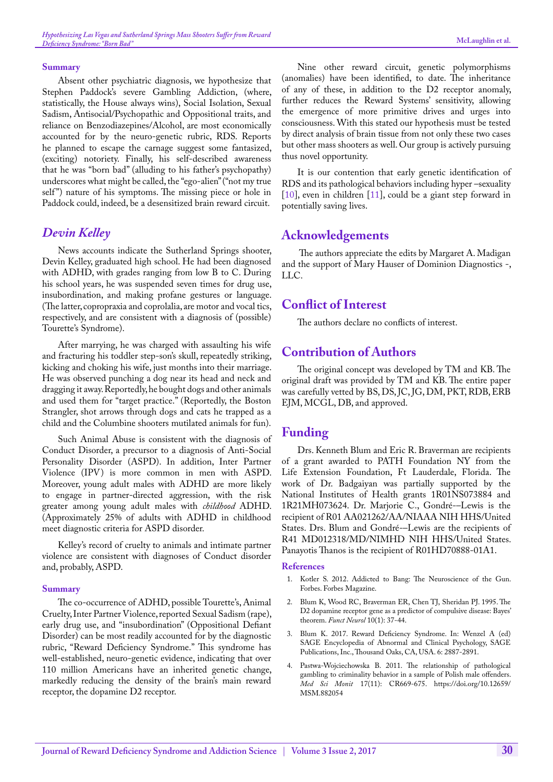#### **Summary**

Absent other psychiatric diagnosis, we hypothesize that Stephen Paddock's severe Gambling Addiction, (where, statistically, the House always wins), Social Isolation, Sexual Sadism, Antisocial/Psychopathic and Oppositional traits, and reliance on Benzodiazepines/Alcohol, are most economically accounted for by the neuro-genetic rubric, RDS. Reports he planned to escape the carnage suggest some fantasized, (exciting) notoriety. Finally, his self-described awareness that he was "born bad" (alluding to his father's psychopathy) underscores what might be called, the "ego-alien" ("not my true self") nature of his symptoms. The missing piece or hole in Paddock could, indeed, be a desensitized brain reward circuit.

#### *Devin Kelley*

News accounts indicate the Sutherland Springs shooter, Devin Kelley, graduated high school. He had been diagnosed with ADHD, with grades ranging from low B to C. During his school years, he was suspended seven times for drug use, insubordination, and making profane gestures or language. (The latter, copropraxia and coprolalia, are motor and vocal tics, respectively, and are consistent with a diagnosis of (possible) Tourette's Syndrome).

After marrying, he was charged with assaulting his wife and fracturing his toddler step-son's skull, repeatedly striking, kicking and choking his wife, just months into their marriage. He was observed punching a dog near its head and neck and dragging it away. Reportedly, he bought dogs and other animals and used them for "target practice." (Reportedly, the Boston Strangler, shot arrows through dogs and cats he trapped as a child and the Columbine shooters mutilated animals for fun).

Such Animal Abuse is consistent with the diagnosis of Conduct Disorder, a precursor to a diagnosis of Anti-Social Personality Disorder (ASPD). In addition, Inter Partner Violence (IPV) is more common in men with ASPD. Moreover, young adult males with ADHD are more likely to engage in partner-directed aggression, with the risk greater among young adult males with *childhood* ADHD. (Approximately 25% of adults with ADHD in childhood meet diagnostic criteria for ASPD disorder.

Kelley's record of cruelty to animals and intimate partner violence are consistent with diagnoses of Conduct disorder and, probably, ASPD.

#### **Summary**

The co-occurrence of ADHD, possible Tourette's, Animal Cruelty, Inter Partner Violence, reported Sexual Sadism (rape), early drug use, and "insubordination" (Oppositional Defiant Disorder) can be most readily accounted for by the diagnostic rubric, "Reward Deficiency Syndrome." This syndrome has well-established, neuro-genetic evidence, indicating that over 110 million Americans have an inherited genetic change, markedly reducing the density of the brain's main reward receptor, the dopamine D2 receptor.

Nine other reward circuit, genetic polymorphisms (anomalies) have been identified, to date. The inheritance of any of these, in addition to the D2 receptor anomaly, further reduces the Reward Systems' sensitivity, allowing the emergence of more primitive drives and urges into consciousness. With this stated our hypothesis must be tested by direct analysis of brain tissue from not only these two cases but other mass shooters as well. Our group is actively pursuing thus novel opportunity.

It is our contention that early genetic identification of RDS and its pathological behaviors including hyper –sexuality [[10\]](#page-3-5), even in children [[11\]](#page-3-6), could be a giant step forward in potentially saving lives.

### **Acknowledgements**

The authors appreciate the edits by Margaret A. Madigan and the support of Mary Hauser of Dominion Diagnostics -, LLC.

## **Conflict of Interest**

The authors declare no conflicts of interest.

## **Contribution of Authors**

The original concept was developed by TM and KB. The original draft was provided by TM and KB. The entire paper was carefully vetted by BS, DS, JC, JG, DM, PKT, RDB, ERB EJM, MCGL, DB, and approved.

## **Funding**

Drs. Kenneth Blum and Eric R. Braverman are recipients of a grant awarded to PATH Foundation NY from the Life Extension Foundation, Ft Lauderdale, Florida. The work of Dr. Badgaiyan was partially supported by the National Institutes of Health grants 1R01NS073884 and 1R21MH073624. Dr. Marjorie C., [Gondré-](https://www.ncbi.nlm.nih.gov/pubmed/?term=Gondr%C3%A9-Lewis%20MC%5BAuthor%5D&cauthor=true&cauthor_uid=28965318)–Lewis is the recipient of [R01 AA021262/AA/NIAAA NIH HHS/United](https://www.ncbi.nlm.nih.gov/pubmed/?term=Blum+K+and+Gondre+-Lewis+M)  [States](https://www.ncbi.nlm.nih.gov/pubmed/?term=Blum+K+and+Gondre+-Lewis+M). Drs. Blum and [Gondré-–](https://www.ncbi.nlm.nih.gov/pubmed/?term=Gondr%C3%A9-Lewis%20MC%5BAuthor%5D&cauthor=true&cauthor_uid=28965318)Lewis are the recipients of [R41 MD012318/MD/NIMHD NIH HHS/United States](https://www.ncbi.nlm.nih.gov/pubmed/?term=Blum+K+and+Gondre+-Lewis+M). Panayotis Thanos is the recipient of R01HD70888-01A1.

#### **References**

- <span id="page-2-0"></span>1. Kotler S. 2012. Addicted to Bang: The Neuroscience of the Gun. Forbes. Forbes Magazine.
- <span id="page-2-1"></span>2. [Blum K, Wood RC, Braverman ER, Chen TJ, Sheridan PJ. 1995. The](https://www.ncbi.nlm.nih.gov/pubmed/7649500)  [D2 dopamine receptor gene as a predictor of compulsive disease: Bayes'](https://www.ncbi.nlm.nih.gov/pubmed/7649500)  theorem. *Funct Neurol* [10\(1\): 37-44.](https://www.ncbi.nlm.nih.gov/pubmed/7649500)
- <span id="page-2-2"></span>3. [Blum K. 2017. Reward Deficiency Syndrome. In: Wenzel A \(ed\)](https://us.sagepub.com/en-us/nam/the-sage-encyclopedia-of-abnormal-and-clinical-psychology/book243472)  [SAGE Encyclopedia of Abnormal and Clinical Psychology, SAGE](https://us.sagepub.com/en-us/nam/the-sage-encyclopedia-of-abnormal-and-clinical-psychology/book243472)  [Publications, Inc., Thousand Oaks, CA, USA. 6: 2887-2891.](https://us.sagepub.com/en-us/nam/the-sage-encyclopedia-of-abnormal-and-clinical-psychology/book243472)
- <span id="page-2-3"></span>Pastwa-Wojciechowska B. 2011. The relationship of pathological [gambling to criminality behavior in a sample of Polish male offenders.](https://www.ncbi.nlm.nih.gov/pmc/articles/PMC3539486/)  *Med Sci Monit* [17\(11\): CR669-675.](https://www.ncbi.nlm.nih.gov/pmc/articles/PMC3539486/) [https://doi.org/10.12659/](https://doi.org/10.12659/MSM.882054) [MSM.882054](https://doi.org/10.12659/MSM.882054)